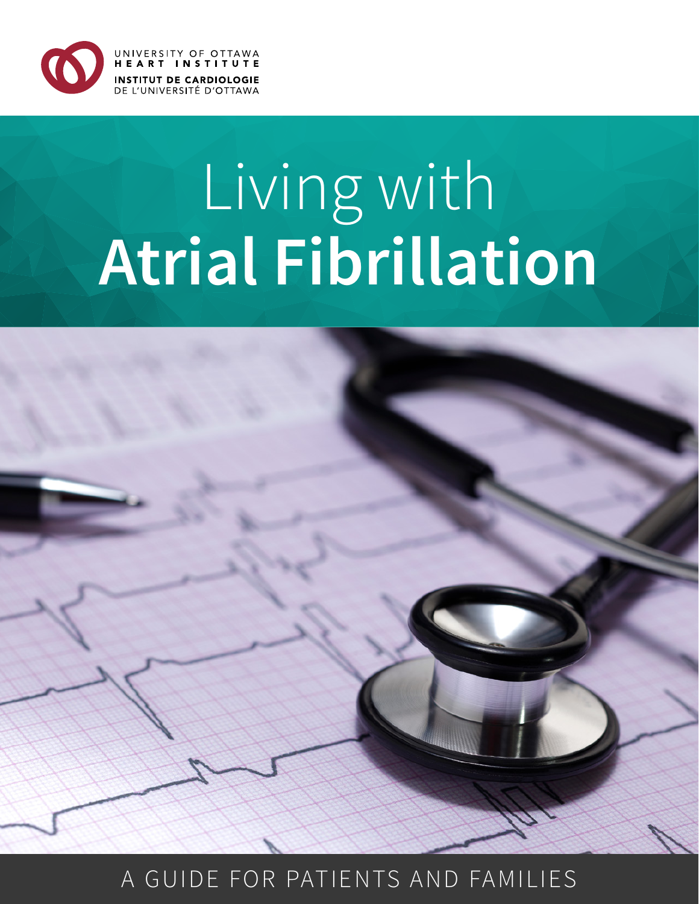

# Living with **Atrial Fibrillation**



### A GUIDE FOR PATIENTS AND FAMILIES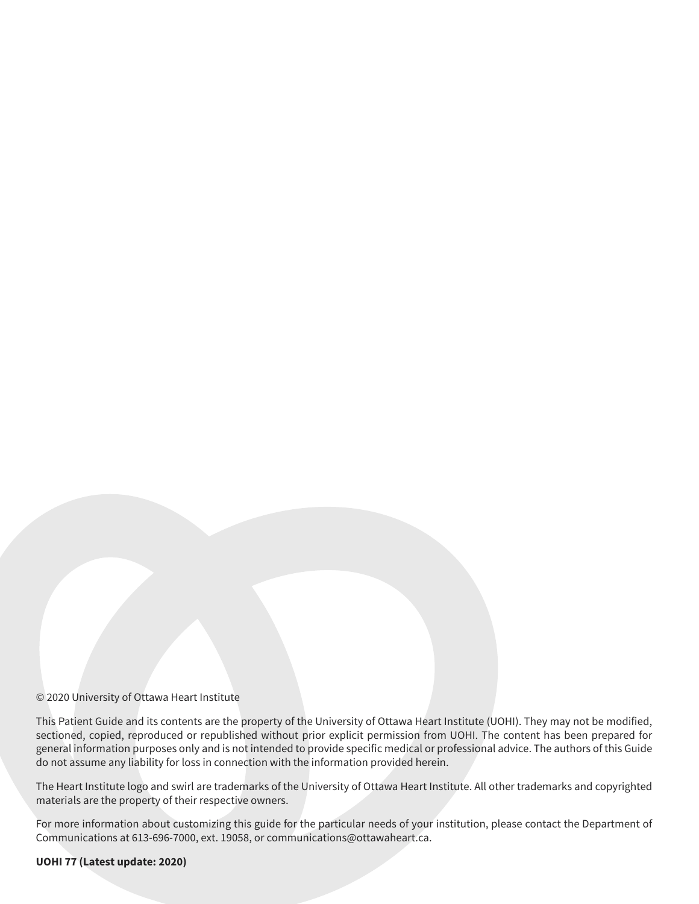#### © 2020 University of Ottawa Heart Institute

This Patient Guide and its contents are the property of the University of Ottawa Heart Institute (UOHI). They may not be modified, sectioned, copied, reproduced or republished without prior explicit permission from UOHI. The content has been prepared for general information purposes only and is not intended to provide specific medical or professional advice. The authors of this Guide do not assume any liability for loss in connection with the information provided herein.

The Heart Institute logo and swirl are trademarks of the University of Ottawa Heart Institute. All other trademarks and copyrighted materials are the property of their respective owners.

For more information about customizing this guide for the particular needs of your institution, please contact the Department of Communications at 613-696-7000, ext. 19058, or communications@ottawaheart.ca.

#### **UOHI 77 (Latest update: 2020)**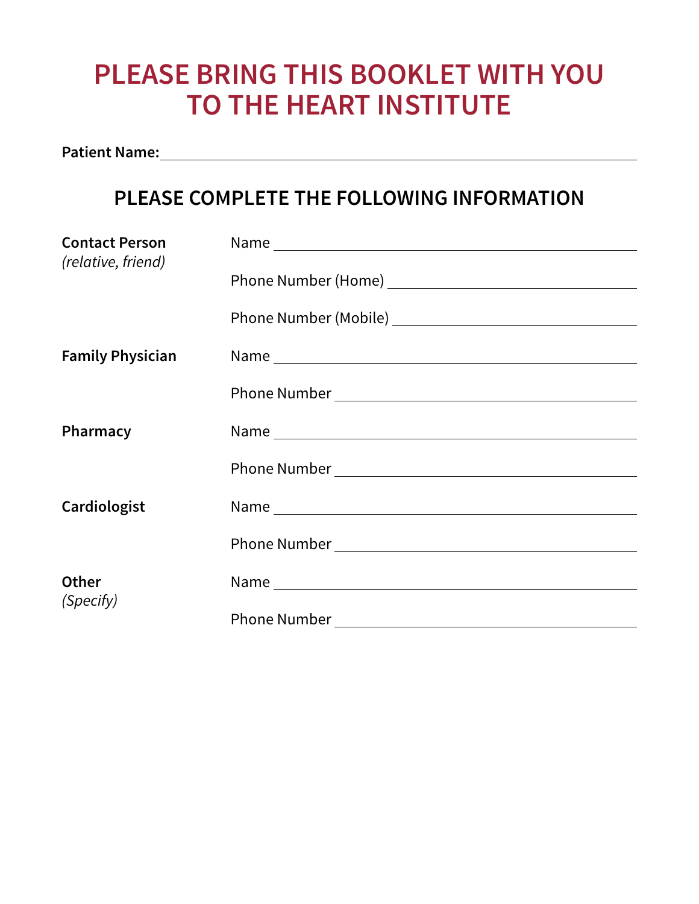### **PLEASE BRING THIS BOOKLET WITH YOU TO THE HEART INSTITUTE**

**Patient Name:**

### **PLEASE COMPLETE THE FOLLOWING INFORMATION**

| <b>Contact Person</b>     | Name and the second contract of the second contract of the second contract of the second contract of the second contract of the second contract of the second contract of the second contract of the second contract of the se |
|---------------------------|--------------------------------------------------------------------------------------------------------------------------------------------------------------------------------------------------------------------------------|
| (relative, friend)        |                                                                                                                                                                                                                                |
|                           |                                                                                                                                                                                                                                |
|                           |                                                                                                                                                                                                                                |
|                           |                                                                                                                                                                                                                                |
| <b>Family Physician</b>   |                                                                                                                                                                                                                                |
|                           |                                                                                                                                                                                                                                |
|                           |                                                                                                                                                                                                                                |
| Pharmacy                  | Name                                                                                                                                                                                                                           |
|                           |                                                                                                                                                                                                                                |
|                           |                                                                                                                                                                                                                                |
|                           |                                                                                                                                                                                                                                |
| Cardiologist              |                                                                                                                                                                                                                                |
|                           |                                                                                                                                                                                                                                |
|                           |                                                                                                                                                                                                                                |
| <b>Other</b><br>(Specify) |                                                                                                                                                                                                                                |
|                           |                                                                                                                                                                                                                                |
|                           |                                                                                                                                                                                                                                |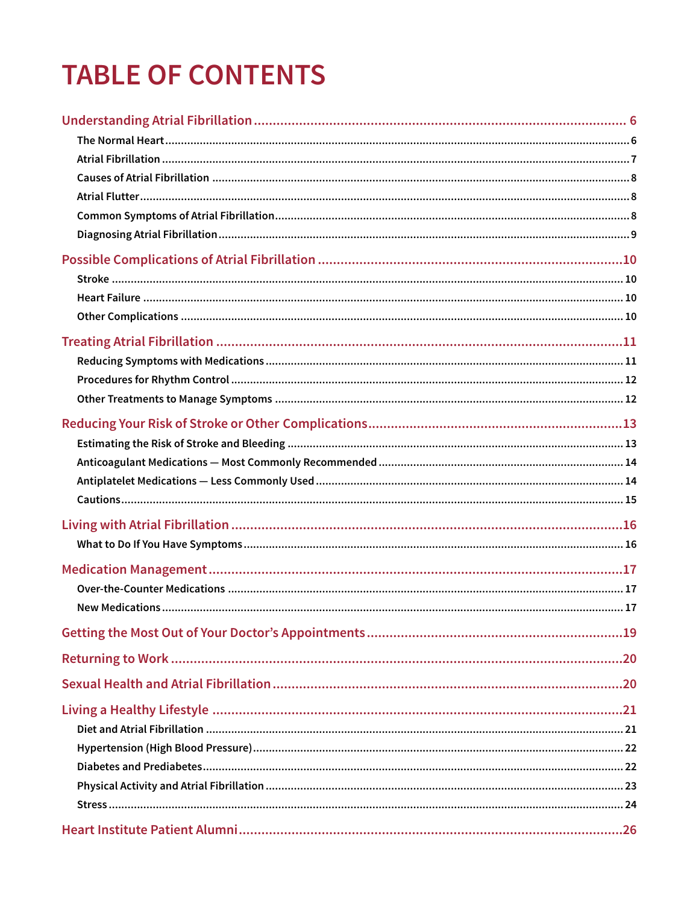# **TABLE OF CONTENTS**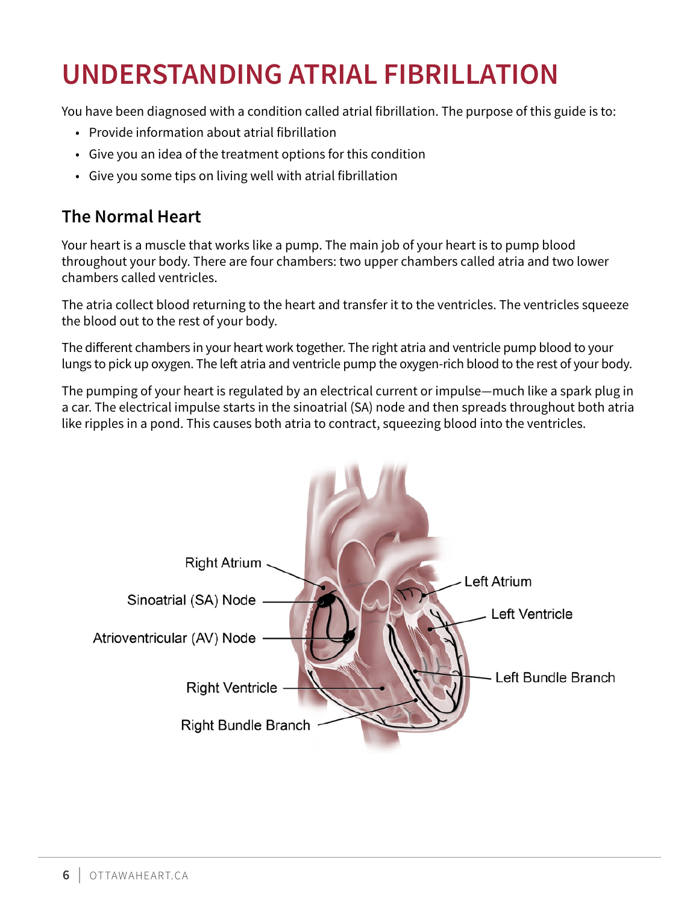# <span id="page-5-0"></span>**UNDERSTANDING ATRIAL FIBRILLATION**

You have been diagnosed with a condition called atrial fibrillation. The purpose of this guide is to:

- Provide information about atrial fibrillation
- Give you an idea of the treatment options for this condition
- Give you some tips on living well with atrial fibrillation

#### **The Normal Heart**

Your heart is a muscle that works like a pump. The main job of your heart is to pump blood throughout your body. There are four chambers: two upper chambers called atria and two lower chambers called ventricles.

The atria collect blood returning to the heart and transfer it to the ventricles. The ventricles squeeze the blood out to the rest of your body.

The different chambers in your heart work together. The right atria and ventricle pump blood to your lungs to pick up oxygen. The left atria and ventricle pump the oxygen-rich blood to the rest of your body.

The pumping of your heart is regulated by an electrical current or impulse—much like a spark plug in a car. The electrical impulse starts in the sinoatrial (SA) node and then spreads throughout both atria like ripples in a pond. This causes both atria to contract, squeezing blood into the ventricles.

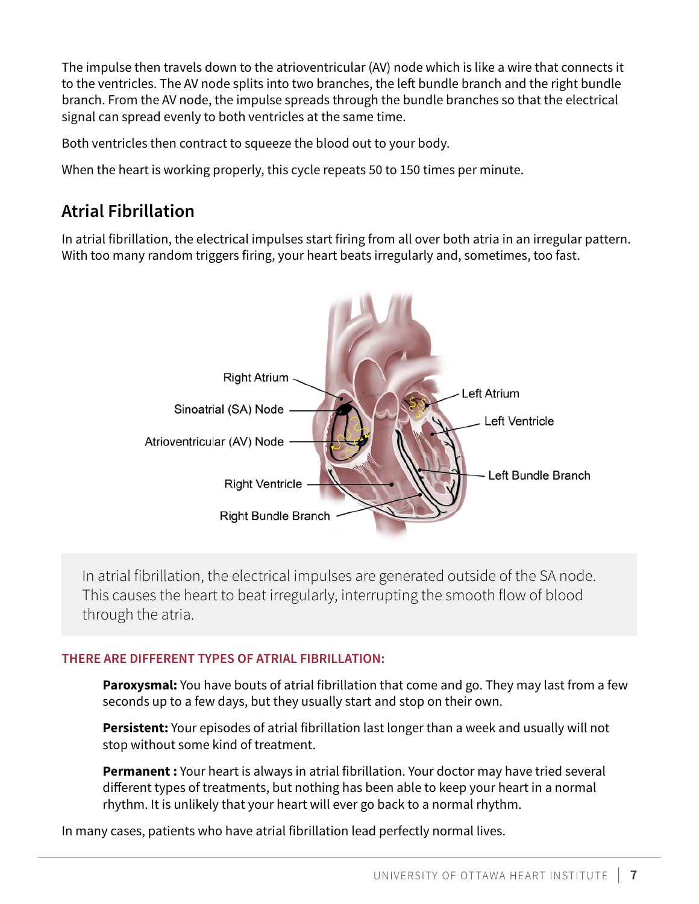<span id="page-6-0"></span>The impulse then travels down to the atrioventricular (AV) node which is like a wire that connects it to the ventricles. The AV node splits into two branches, the left bundle branch and the right bundle branch. From the AV node, the impulse spreads through the bundle branches so that the electrical signal can spread evenly to both ventricles at the same time.

Both ventricles then contract to squeeze the blood out to your body.

When the heart is working properly, this cycle repeats 50 to 150 times per minute.

#### **Atrial Fibrillation**

In atrial fibrillation, the electrical impulses start firing from all over both atria in an irregular pattern. With too many random triggers firing, your heart beats irregularly and, sometimes, too fast.



In atrial fibrillation, the electrical impulses are generated outside of the SA node. This causes the heart to beat irregularly, interrupting the smooth flow of blood through the atria.

#### **THERE ARE DIFFERENT TYPES OF ATRIAL FIBRILLATION:**

**Paroxysmal:** You have bouts of atrial fibrillation that come and go. They may last from a few seconds up to a few days, but they usually start and stop on their own.

**Persistent:** Your episodes of atrial fibrillation last longer than a week and usually will not stop without some kind of treatment.

**Permanent :** Your heart is always in atrial fibrillation. Your doctor may have tried several different types of treatments, but nothing has been able to keep your heart in a normal rhythm. It is unlikely that your heart will ever go back to a normal rhythm.

In many cases, patients who have atrial fibrillation lead perfectly normal lives.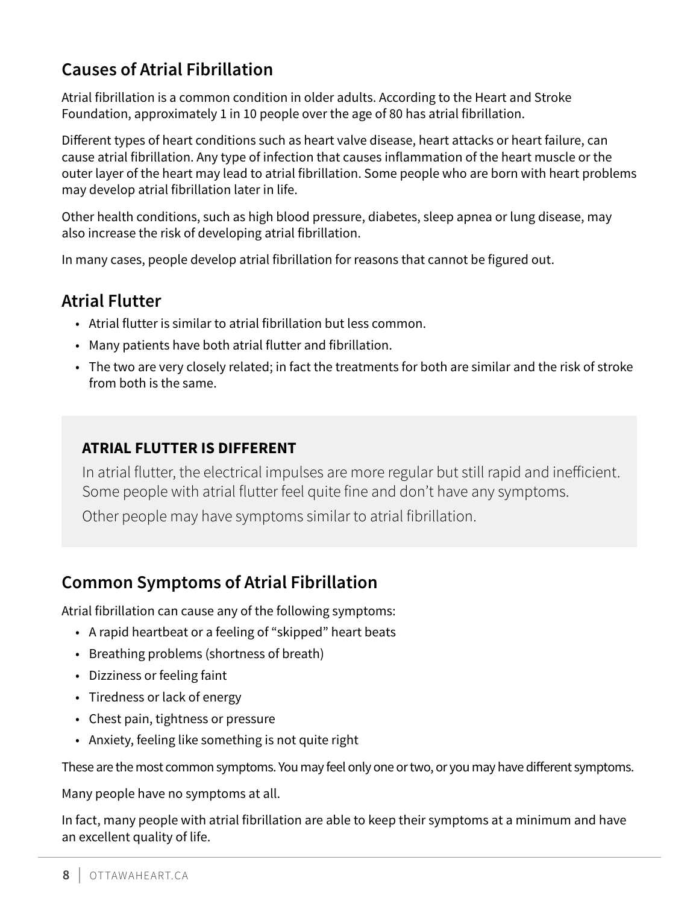### <span id="page-7-0"></span>**Causes of Atrial Fibrillation**

Atrial fibrillation is a common condition in older adults. According to the Heart and Stroke Foundation, approximately 1 in 10 people over the age of 80 has atrial fibrillation.

Different types of heart conditions such as heart valve disease, heart attacks or heart failure, can cause atrial fibrillation. Any type of infection that causes inflammation of the heart muscle or the outer layer of the heart may lead to atrial fibrillation. Some people who are born with heart problems may develop atrial fibrillation later in life.

Other health conditions, such as high blood pressure, diabetes, sleep apnea or lung disease, may also increase the risk of developing atrial fibrillation.

In many cases, people develop atrial fibrillation for reasons that cannot be figured out.

### **Atrial Flutter**

- Atrial flutter is similar to atrial fibrillation but less common.
- Many patients have both atrial flutter and fibrillation.
- The two are very closely related; in fact the treatments for both are similar and the risk of stroke from both is the same.

#### **ATRIAL FLUTTER IS DIFFERENT**

In atrial flutter, the electrical impulses are more regular but still rapid and inefficient. Some people with atrial flutter feel quite fine and don't have any symptoms. Other people may have symptoms similar to atrial fibrillation.

### **Common Symptoms of Atrial Fibrillation**

Atrial fibrillation can cause any of the following symptoms:

- A rapid heartbeat or a feeling of "skipped" heart beats
- Breathing problems (shortness of breath)
- Dizziness or feeling faint
- Tiredness or lack of energy
- Chest pain, tightness or pressure
- Anxiety, feeling like something is not quite right

These are the most common symptoms. You may feel only one or two, or you may have different symptoms.

Many people have no symptoms at all.

In fact, many people with atrial fibrillation are able to keep their symptoms at a minimum and have an excellent quality of life.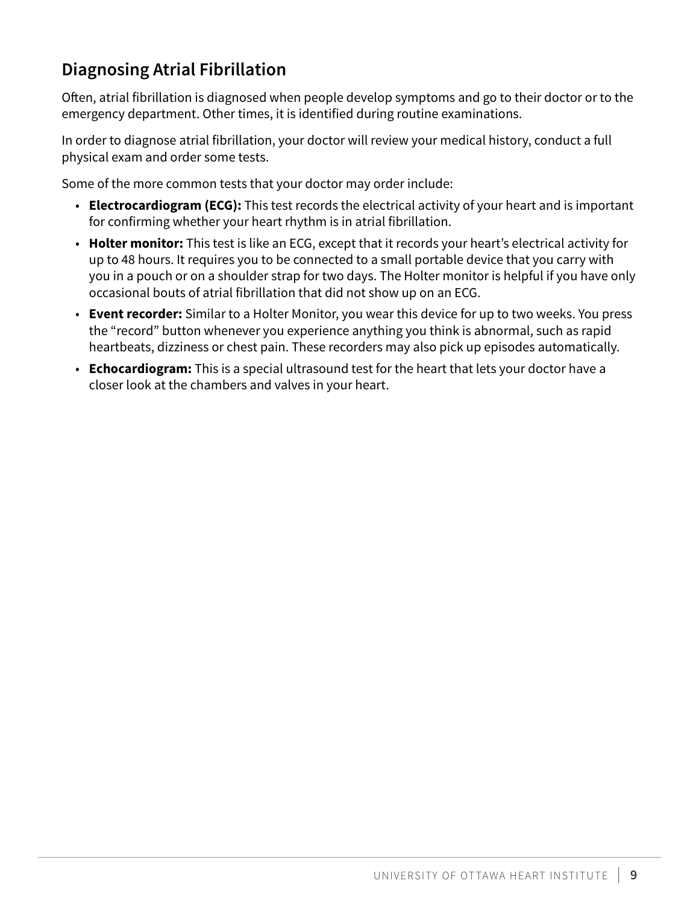### <span id="page-8-0"></span>**Diagnosing Atrial Fibrillation**

Often, atrial fibrillation is diagnosed when people develop symptoms and go to their doctor or to the emergency department. Other times, it is identified during routine examinations.

In order to diagnose atrial fibrillation, your doctor will review your medical history, conduct a full physical exam and order some tests.

Some of the more common tests that your doctor may order include:

- **Electrocardiogram (ECG):** This test records the electrical activity of your heart and is important for confirming whether your heart rhythm is in atrial fibrillation.
- **Holter monitor:** This test is like an ECG, except that it records your heart's electrical activity for up to 48 hours. It requires you to be connected to a small portable device that you carry with you in a pouch or on a shoulder strap for two days. The Holter monitor is helpful if you have only occasional bouts of atrial fibrillation that did not show up on an ECG.
- **Event recorder:** Similar to a Holter Monitor, you wear this device for up to two weeks. You press the "record" button whenever you experience anything you think is abnormal, such as rapid heartbeats, dizziness or chest pain. These recorders may also pick up episodes automatically.
- **Echocardiogram:** This is a special ultrasound test for the heart that lets your doctor have a closer look at the chambers and valves in your heart.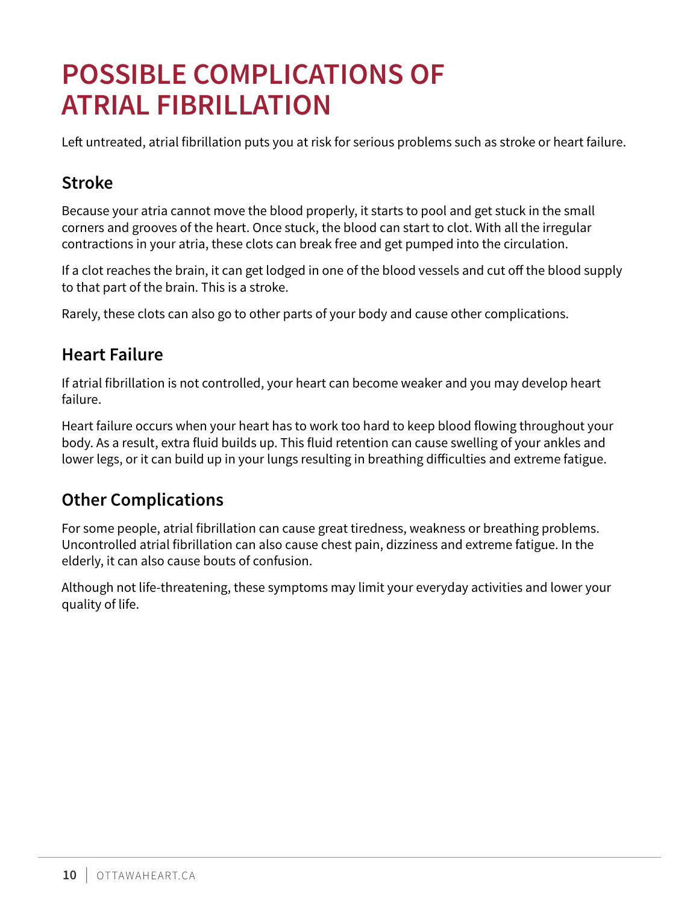# <span id="page-9-0"></span>**POSSIBLE COMPLICATIONS OF ATRIAL FIBRILLATION**

Left untreated, atrial fibrillation puts you at risk for serious problems such as stroke or heart failure.

### **Stroke**

Because your atria cannot move the blood properly, it starts to pool and get stuck in the small corners and grooves of the heart. Once stuck, the blood can start to clot. With all the irregular contractions in your atria, these clots can break free and get pumped into the circulation.

If a clot reaches the brain, it can get lodged in one of the blood vessels and cut off the blood supply to that part of the brain. This is a stroke.

Rarely, these clots can also go to other parts of your body and cause other complications.

#### **Heart Failure**

If atrial fibrillation is not controlled, your heart can become weaker and you may develop heart failure.

Heart failure occurs when your heart has to work too hard to keep blood flowing throughout your body. As a result, extra fluid builds up. This fluid retention can cause swelling of your ankles and lower legs, or it can build up in your lungs resulting in breathing difficulties and extreme fatigue.

#### **Other Complications**

For some people, atrial fibrillation can cause great tiredness, weakness or breathing problems. Uncontrolled atrial fibrillation can also cause chest pain, dizziness and extreme fatigue. In the elderly, it can also cause bouts of confusion.

Although not life-threatening, these symptoms may limit your everyday activities and lower your quality of life.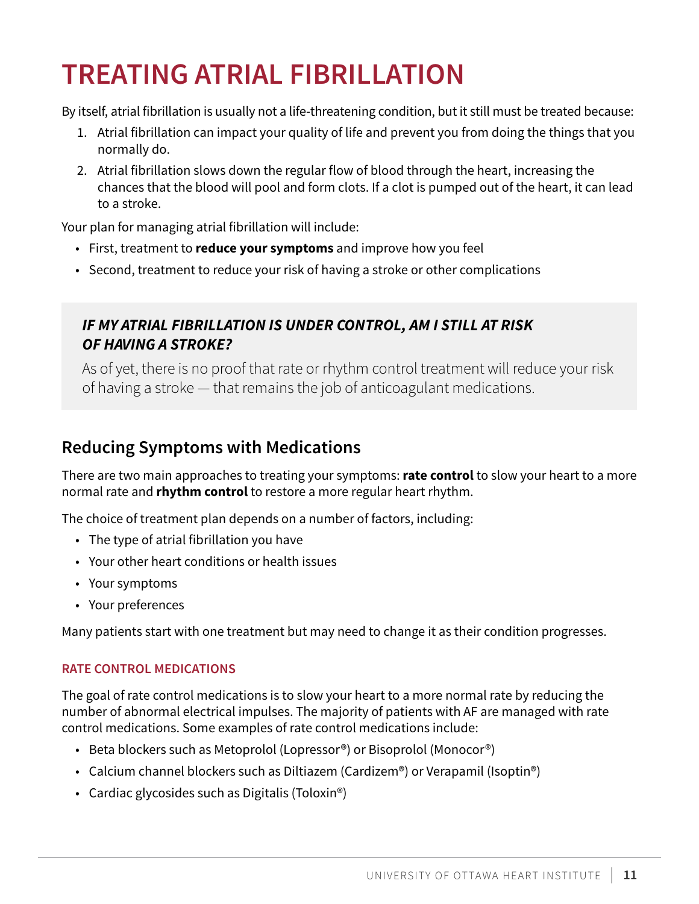# <span id="page-10-0"></span>**TREATING ATRIAL FIBRILLATION**

By itself, atrial fibrillation is usually not a life-threatening condition, but it still must be treated because:

- 1. Atrial fibrillation can impact your quality of life and prevent you from doing the things that you normally do.
- 2. Atrial fibrillation slows down the regular flow of blood through the heart, increasing the chances that the blood will pool and form clots. If a clot is pumped out of the heart, it can lead to a stroke.

Your plan for managing atrial fibrillation will include:

- First, treatment to **reduce your symptoms** and improve how you feel
- Second, treatment to reduce your risk of having a stroke or other complications

#### *IF MY ATRIAL FIBRILLATION IS UNDER CONTROL, AM I STILL AT RISK OF HAVING A STROKE?*

As of yet, there is no proof that rate or rhythm control treatment will reduce your risk of having a stroke — that remains the job of anticoagulant medications.

#### **Reducing Symptoms with Medications**

There are two main approaches to treating your symptoms: **rate control** to slow your heart to a more normal rate and **rhythm control** to restore a more regular heart rhythm.

The choice of treatment plan depends on a number of factors, including:

- The type of atrial fibrillation you have
- Your other heart conditions or health issues
- Your symptoms
- Your preferences

Many patients start with one treatment but may need to change it as their condition progresses.

#### **RATE CONTROL MEDICATIONS**

The goal of rate control medications is to slow your heart to a more normal rate by reducing the number of abnormal electrical impulses. The majority of patients with AF are managed with rate control medications. Some examples of rate control medications include:

- Beta blockers such as Metoprolol (Lopressor®) or Bisoprolol (Monocor®)
- Calcium channel blockers such as Diltiazem (Cardizem®) or Verapamil (Isoptin®)
- Cardiac glycosides such as Digitalis (Toloxin<sup>®</sup>)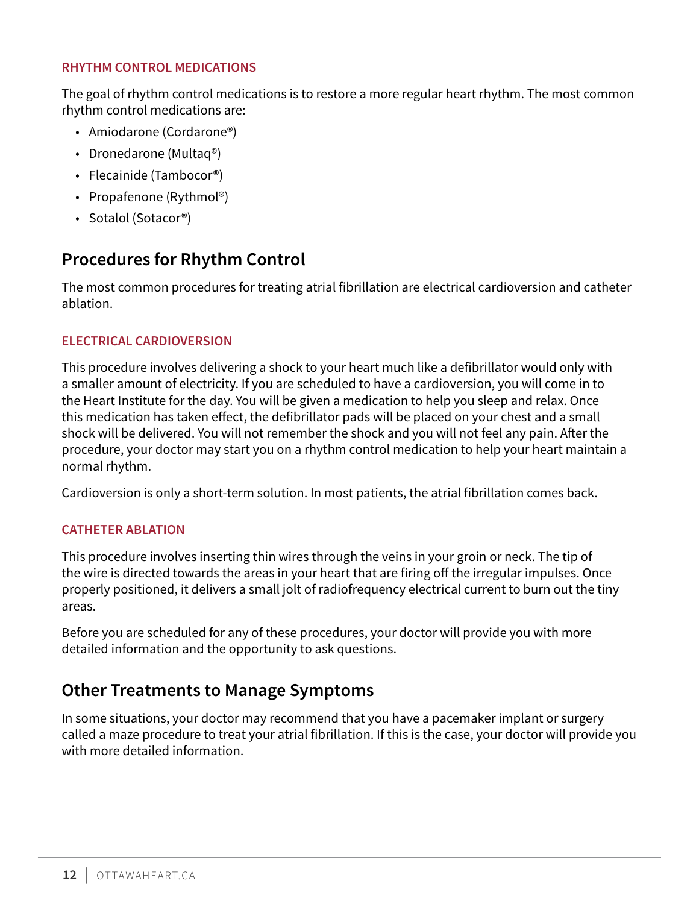#### <span id="page-11-0"></span>**RHYTHM CONTROL MEDICATIONS**

The goal of rhythm control medications is to restore a more regular heart rhythm. The most common rhythm control medications are:

- Amiodarone (Cordarone®)
- Dronedarone (Multaq®)
- Flecainide (Tambocor<sup>®</sup>)
- Propafenone (Rythmol<sup>®</sup>)
- Sotalol (Sotacor®)

#### **Procedures for Rhythm Control**

The most common procedures for treating atrial fibrillation are electrical cardioversion and catheter ablation.

#### **ELECTRICAL CARDIOVERSION**

This procedure involves delivering a shock to your heart much like a defibrillator would only with a smaller amount of electricity. If you are scheduled to have a cardioversion, you will come in to the Heart Institute for the day. You will be given a medication to help you sleep and relax. Once this medication has taken effect, the defibrillator pads will be placed on your chest and a small shock will be delivered. You will not remember the shock and you will not feel any pain. After the procedure, your doctor may start you on a rhythm control medication to help your heart maintain a normal rhythm.

Cardioversion is only a short-term solution. In most patients, the atrial fibrillation comes back.

#### **CATHETER ABLATION**

This procedure involves inserting thin wires through the veins in your groin or neck. The tip of the wire is directed towards the areas in your heart that are firing off the irregular impulses. Once properly positioned, it delivers a small jolt of radiofrequency electrical current to burn out the tiny areas.

Before you are scheduled for any of these procedures, your doctor will provide you with more detailed information and the opportunity to ask questions.

#### **Other Treatments to Manage Symptoms**

In some situations, your doctor may recommend that you have a pacemaker implant or surgery called a maze procedure to treat your atrial fibrillation. If this is the case, your doctor will provide you with more detailed information.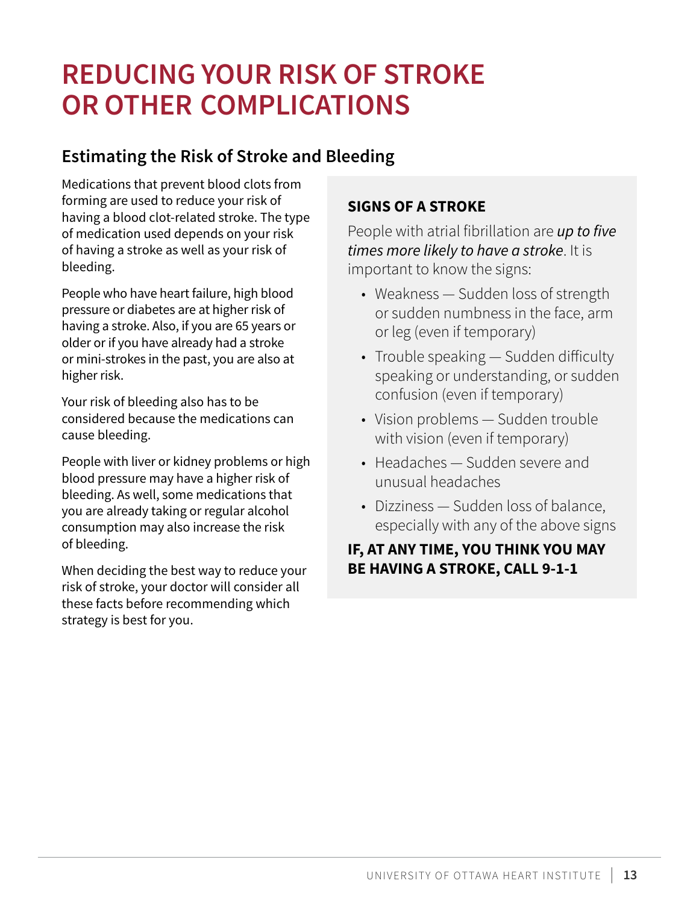## <span id="page-12-0"></span>**REDUCING YOUR RISK OF STROKE OR OTHER COMPLICATIONS**

#### **Estimating the Risk of Stroke and Bleeding**

Medications that prevent blood clots from forming are used to reduce your risk of having a blood clot-related stroke. The type of medication used depends on your risk of having a stroke as well as your risk of bleeding.

People who have heart failure, high blood pressure or diabetes are at higher risk of having a stroke. Also, if you are 65 years or older or if you have already had a stroke or mini-strokes in the past, you are also at higher risk.

Your risk of bleeding also has to be considered because the medications can cause bleeding.

People with liver or kidney problems or high blood pressure may have a higher risk of bleeding. As well, some medications that you are already taking or regular alcohol consumption may also increase the risk of bleeding.

When deciding the best way to reduce your risk of stroke, your doctor will consider all these facts before recommending which strategy is best for you.

#### **SIGNS OF A STROKE**

People with atrial fibrillation are *up to five times more likely to have a stroke*. It is important to know the signs:

- Weakness Sudden loss of strength or sudden numbness in the face, arm or leg (even if temporary)
- Trouble speaking Sudden difficulty speaking or understanding, or sudden confusion (even if temporary)
- Vision problems Sudden trouble with vision (even if temporary)
- Headaches Sudden severe and unusual headaches
- Dizziness Sudden loss of balance, especially with any of the above signs

#### **IF, AT ANY TIME, YOU THINK YOU MAY BE HAVING A STROKE, CALL 9‑1‑1**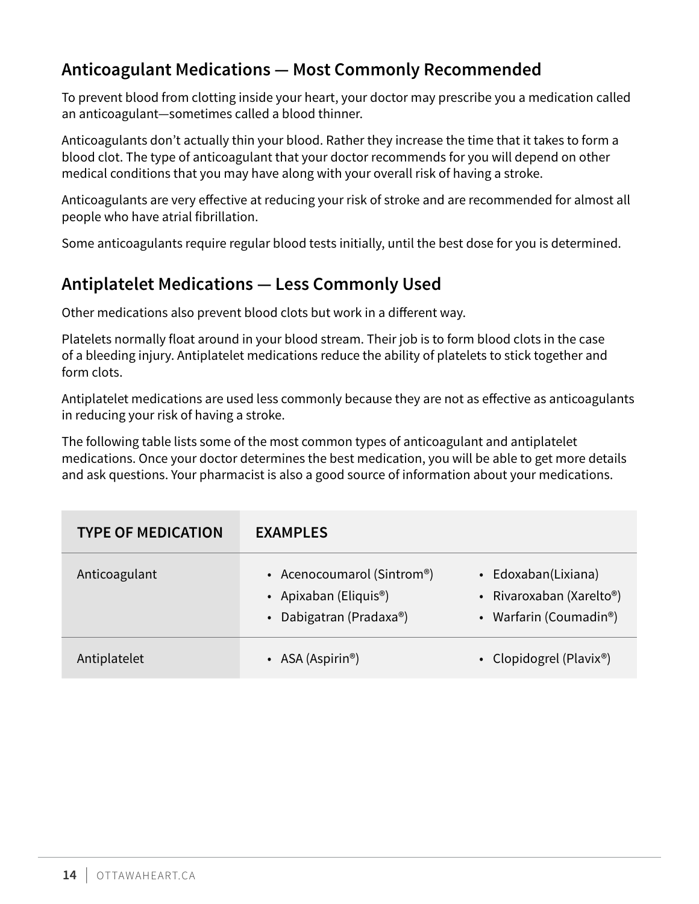### <span id="page-13-0"></span>**Anticoagulant Medications — Most Commonly Recommended**

To prevent blood from clotting inside your heart, your doctor may prescribe you a medication called an anticoagulant—sometimes called a blood thinner.

Anticoagulants don't actually thin your blood. Rather they increase the time that it takes to form a blood clot. The type of anticoagulant that your doctor recommends for you will depend on other medical conditions that you may have along with your overall risk of having a stroke.

Anticoagulants are very effective at reducing your risk of stroke and are recommended for almost all people who have atrial fibrillation.

Some anticoagulants require regular blood tests initially, until the best dose for you is determined.

#### **Antiplatelet Medications — Less Commonly Used**

Other medications also prevent blood clots but work in a different way.

Platelets normally float around in your blood stream. Their job is to form blood clots in the case of a bleeding injury. Antiplatelet medications reduce the ability of platelets to stick together and form clots.

Antiplatelet medications are used less commonly because they are not as effective as anticoagulants in reducing your risk of having a stroke.

The following table lists some of the most common types of anticoagulant and antiplatelet medications. Once your doctor determines the best medication, you will be able to get more details and ask questions. Your pharmacist is also a good source of information about your medications.

| <b>TYPE OF MEDICATION</b> | <b>EXAMPLES</b>                                                                             |                                                                                                     |
|---------------------------|---------------------------------------------------------------------------------------------|-----------------------------------------------------------------------------------------------------|
| Anticoagulant             | • Acenocoumarol (Sintrom®)<br>• Apixaban (Eliquis <sup>®</sup> )<br>• Dabigatran (Pradaxa®) | • Edoxaban(Lixiana)<br>• Rivaroxaban (Xarelto <sup>®</sup> )<br>• Warfarin (Coumadin <sup>®</sup> ) |
| Antiplatelet              | • ASA (Aspirin <sup>®</sup> )                                                               | • Clopidogrel (Plavix®)                                                                             |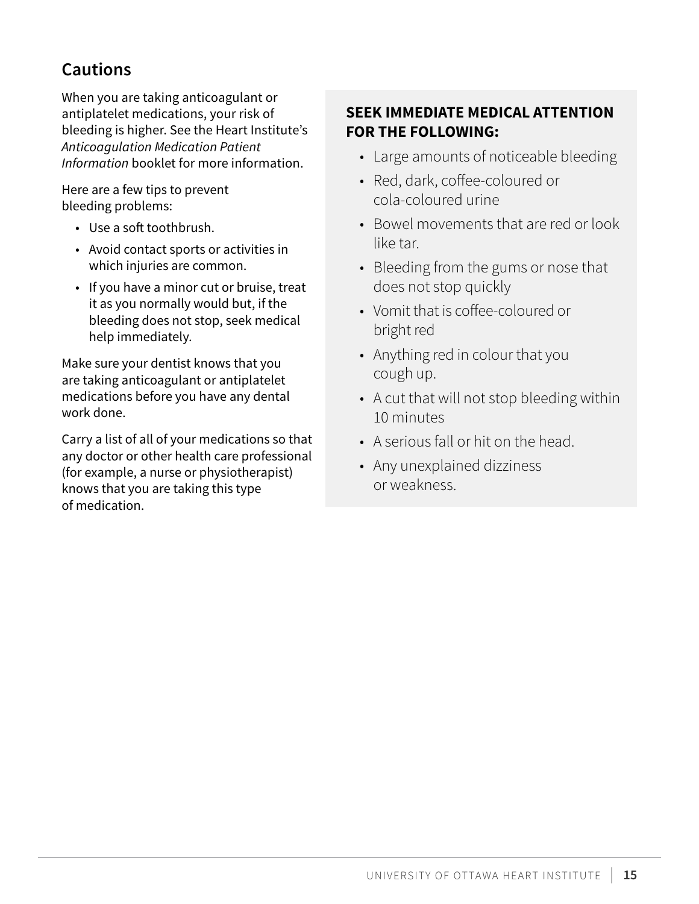### <span id="page-14-0"></span>**Cautions**

When you are taking anticoagulant or antiplatelet medications, your risk of bleeding is higher. See the Heart Institute's *Anticoagulation Medication Patient Information* booklet for more information.

Here are a few tips to prevent bleeding problems:

- Use a soft toothbrush.
- Avoid contact sports or activities in which injuries are common.
- If you have a minor cut or bruise, treat it as you normally would but, if the bleeding does not stop, seek medical help immediately.

Make sure your dentist knows that you are taking anticoagulant or antiplatelet medications before you have any dental work done.

Carry a list of all of your medications so that any doctor or other health care professional (for example, a nurse or physiotherapist) knows that you are taking this type of medication.

#### **SEEK IMMEDIATE MEDICAL ATTENTION FOR THE FOLLOWING:**

- Large amounts of noticeable bleeding
- Red, dark, coffee-coloured or cola-coloured urine
- Bowel movements that are red or look like tar.
- Bleeding from the gums or nose that does not stop quickly
- Vomit that is coffee-coloured or bright red
- Anything red in colour that you cough up.
- A cut that will not stop bleeding within 10 minutes
- A serious fall or hit on the head.
- Any unexplained dizziness or weakness.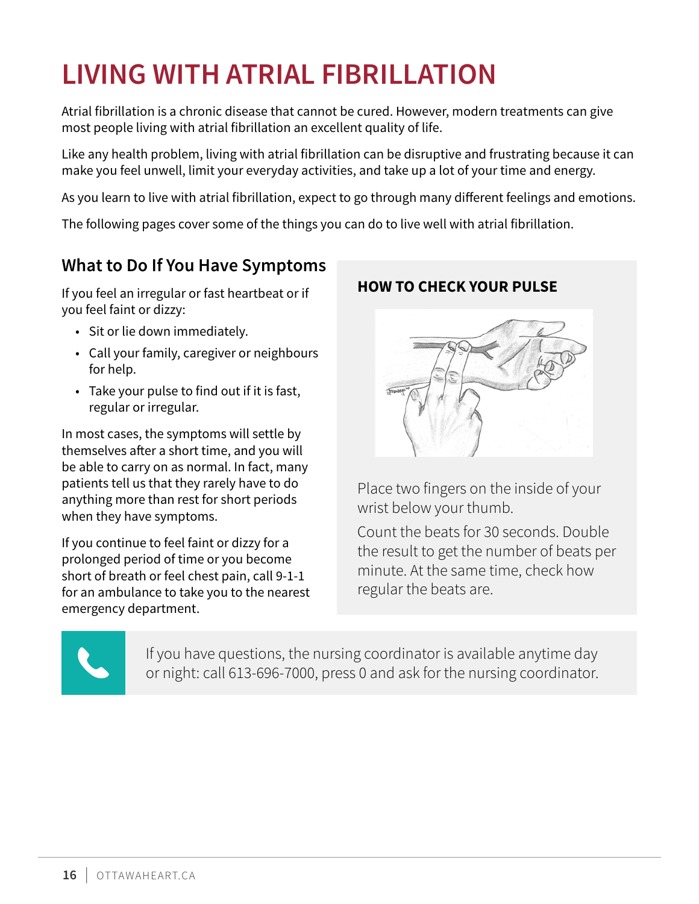# <span id="page-15-0"></span>**LIVING WITH ATRIAL FIBRILLATION**

Atrial fibrillation is a chronic disease that cannot be cured. However, modern treatments can give most people living with atrial fibrillation an excellent quality of life.

Like any health problem, living with atrial fibrillation can be disruptive and frustrating because it can make you feel unwell, limit your everyday activities, and take up a lot of your time and energy.

As you learn to live with atrial fibrillation, expect to go through many different feelings and emotions.

The following pages cover some of the things you can do to live well with atrial fibrillation.

#### **What to Do If You Have Symptoms**

If you feel an irregular or fast heartbeat or if you feel faint or dizzy:

- Sit or lie down immediately.
- Call your family, caregiver or neighbours for help.
- Take your pulse to find out if it is fast, regular or irregular.

In most cases, the symptoms will settle by themselves after a short time, and you will be able to carry on as normal. In fact, many patients tell us that they rarely have to do anything more than rest for short periods when they have symptoms.

If you continue to feel faint or dizzy for a prolonged period of time or you become short of breath or feel chest pain, call 9-1-1 for an ambulance to take you to the nearest emergency department.

#### **HOW TO CHECK YOUR PULSE**



Place two fingers on the inside of your wrist below your thumb.

Count the beats for 30 seconds. Double the result to get the number of beats per minute. At the same time, check how regular the beats are.



If you have questions, the nursing coordinator is available anytime day or night: call 613-696-7000, press 0 and ask for the nursing coordinator.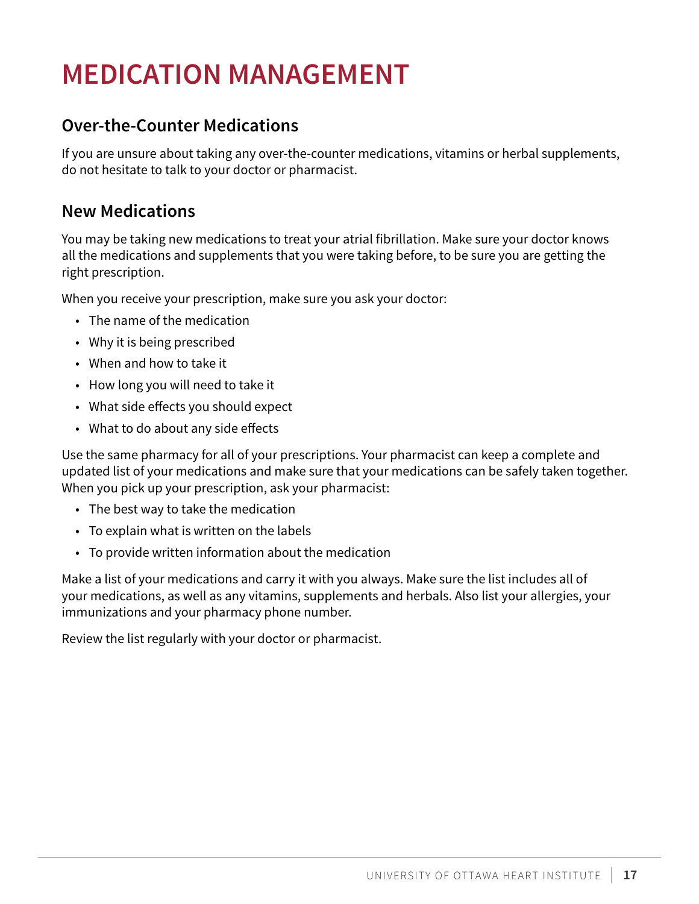# <span id="page-16-0"></span>**MEDICATION MANAGEMENT**

#### **Over-the-Counter Medications**

If you are unsure about taking any over-the-counter medications, vitamins or herbal supplements, do not hesitate to talk to your doctor or pharmacist.

#### **New Medications**

You may be taking new medications to treat your atrial fibrillation. Make sure your doctor knows all the medications and supplements that you were taking before, to be sure you are getting the right prescription.

When you receive your prescription, make sure you ask your doctor:

- The name of the medication
- Why it is being prescribed
- When and how to take it
- How long you will need to take it
- What side effects you should expect
- What to do about any side effects

Use the same pharmacy for all of your prescriptions. Your pharmacist can keep a complete and updated list of your medications and make sure that your medications can be safely taken together. When you pick up your prescription, ask your pharmacist:

- The best way to take the medication
- To explain what is written on the labels
- To provide written information about the medication

Make a list of your medications and carry it with you always. Make sure the list includes all of your medications, as well as any vitamins, supplements and herbals. Also list your allergies, your immunizations and your pharmacy phone number.

Review the list regularly with your doctor or pharmacist.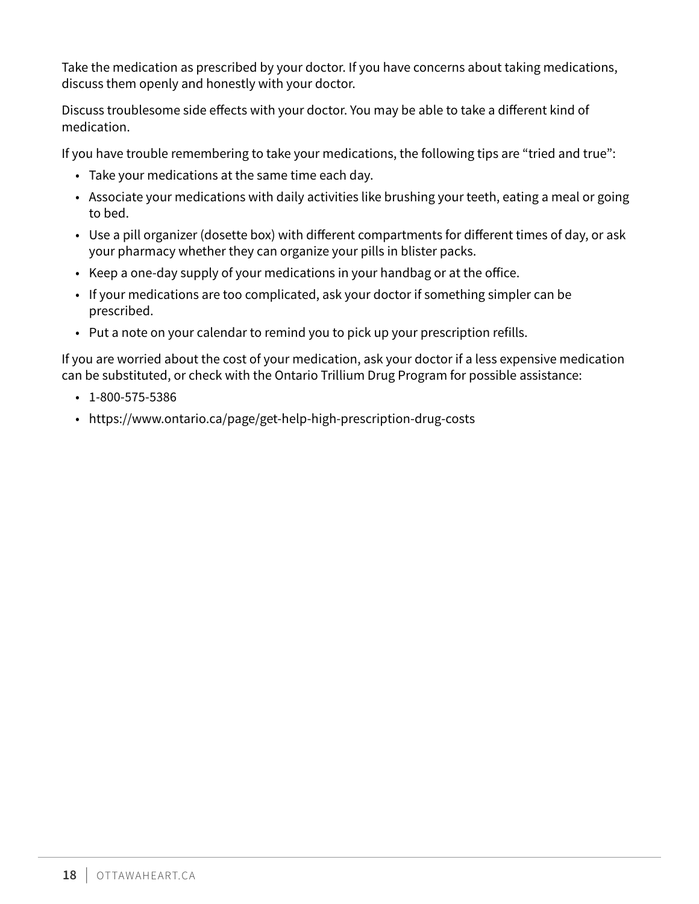Take the medication as prescribed by your doctor. If you have concerns about taking medications, discuss them openly and honestly with your doctor.

Discuss troublesome side effects with your doctor. You may be able to take a different kind of medication.

If you have trouble remembering to take your medications, the following tips are "tried and true":

- Take your medications at the same time each day.
- Associate your medications with daily activities like brushing your teeth, eating a meal or going to bed.
- Use a pill organizer (dosette box) with different compartments for different times of day, or ask your pharmacy whether they can organize your pills in blister packs.
- Keep a one-day supply of your medications in your handbag or at the office.
- If your medications are too complicated, ask your doctor if something simpler can be prescribed.
- Put a note on your calendar to remind you to pick up your prescription refills.

If you are worried about the cost of your medication, ask your doctor if a less expensive medication can be substituted, or check with the Ontario Trillium Drug Program for possible assistance:

- 1-800-575-5386
- https://www.ontario.ca/page/get-help-high-prescription-drug-costs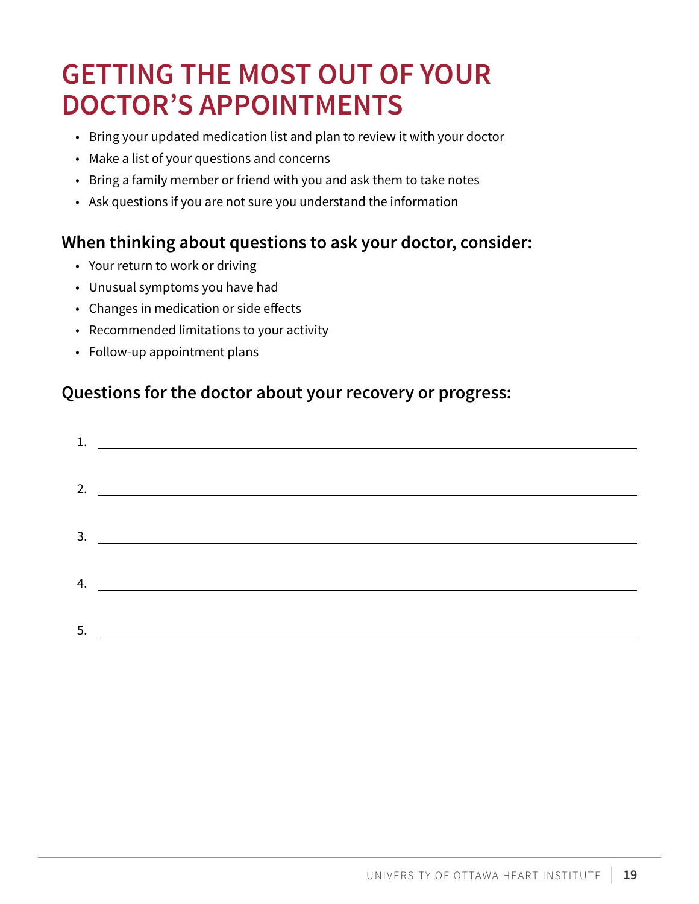# <span id="page-18-0"></span>**GETTING THE MOST OUT OF YOUR DOCTOR'S APPOINTMENTS**

- Bring your updated medication list and plan to review it with your doctor
- Make a list of your questions and concerns
- Bring a family member or friend with you and ask them to take notes
- Ask questions if you are not sure you understand the information

#### **When thinking about questions to ask your doctor, consider:**

- Your return to work or driving
- Unusual symptoms you have had
- Changes in medication or side effects
- Recommended limitations to your activity
- Follow-up appointment plans

### **Questions for the doctor about your recovery or progress:**

| 2. $\qquad \qquad$ |
|--------------------|
|                    |
| $\frac{3.}{2}$     |
|                    |
|                    |
|                    |
|                    |
|                    |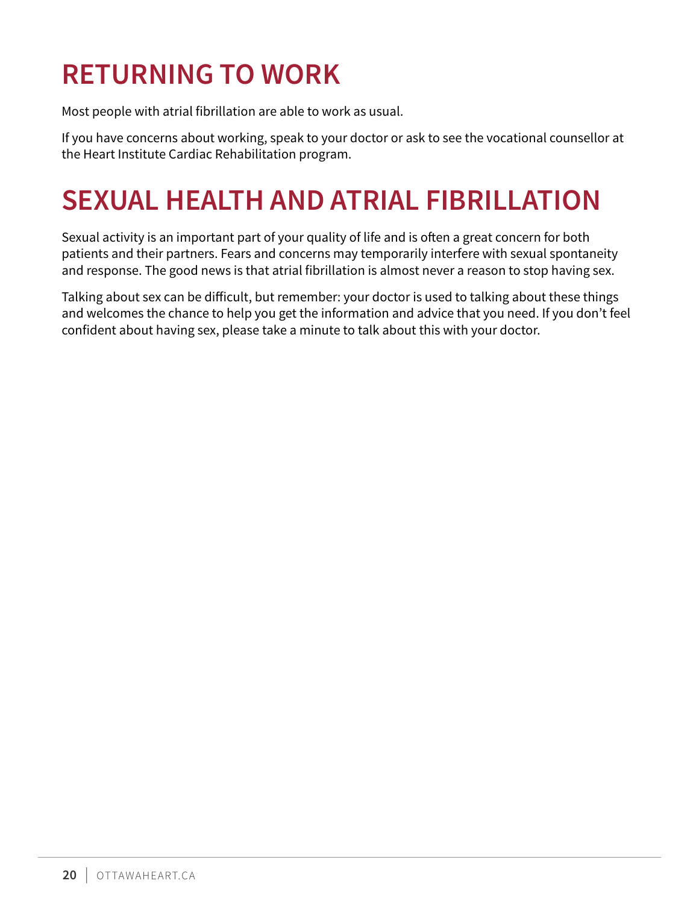# <span id="page-19-0"></span>**RETURNING TO WORK**

Most people with atrial fibrillation are able to work as usual.

If you have concerns about working, speak to your doctor or ask to see the vocational counsellor at the Heart Institute Cardiac Rehabilitation program.

# **SEXUAL HEALTH AND ATRIAL FIBRILLATION**

Sexual activity is an important part of your quality of life and is often a great concern for both patients and their partners. Fears and concerns may temporarily interfere with sexual spontaneity and response. The good news is that atrial fibrillation is almost never a reason to stop having sex.

Talking about sex can be difficult, but remember: your doctor is used to talking about these things and welcomes the chance to help you get the information and advice that you need. If you don't feel confident about having sex, please take a minute to talk about this with your doctor.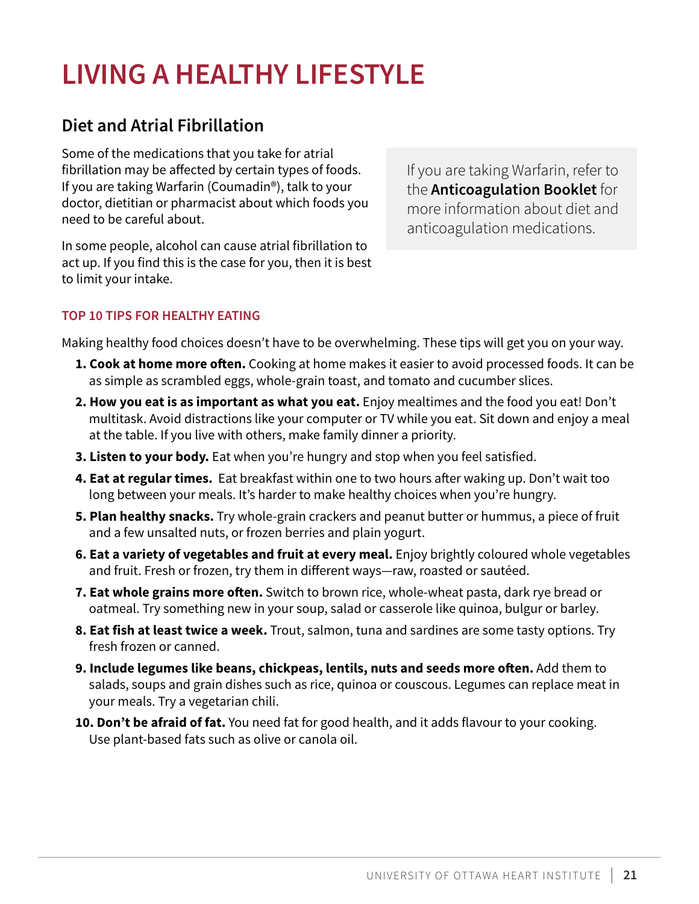# <span id="page-20-0"></span>**LIVING A HEALTHY LIFESTYLE**

#### **Diet and Atrial Fibrillation**

Some of the medications that you take for atrial fibrillation may be affected by certain types of foods. If you are taking Warfarin (Coumadin®), talk to your doctor, dietitian or pharmacist about which foods you need to be careful about.

In some people, alcohol can cause atrial fibrillation to act up. If you find this is the case for you, then it is best to limit your intake.

If you are taking Warfarin, refer to the **Anticoagulation Booklet** for more information about diet and anticoagulation medications.

#### **TOP 10 TIPS FOR HEALTHY EATING**

Making healthy food choices doesn't have to be overwhelming. These tips will get you on your way.

- **1. Cook at home more often.** Cooking at home makes it easier to avoid processed foods. It can be as simple as scrambled eggs, whole-grain toast, and tomato and cucumber slices.
- **2. How you eat is as important as what you eat.** Enjoy mealtimes and the food you eat! Don't multitask. Avoid distractions like your computer or TV while you eat. Sit down and enjoy a meal at the table. If you live with others, make family dinner a priority.
- **3. Listen to your body.** Eat when you're hungry and stop when you feel satisfied.
- **4. Eat at regular times.** Eat breakfast within one to two hours after waking up. Don't wait too long between your meals. It's harder to make healthy choices when you're hungry.
- **5. Plan healthy snacks.** Try whole-grain crackers and peanut butter or hummus, a piece of fruit and a few unsalted nuts, or frozen berries and plain yogurt.
- **6. Eat a variety of vegetables and fruit at every meal.** Enjoy brightly coloured whole vegetables and fruit. Fresh or frozen, try them in different ways—raw, roasted or sautéed.
- **7. Eat whole grains more often.** Switch to brown rice, whole-wheat pasta, dark rye bread or oatmeal. Try something new in your soup, salad or casserole like quinoa, bulgur or barley.
- **8. Eat fish at least twice a week.** Trout, salmon, tuna and sardines are some tasty options. Try fresh frozen or canned.
- **9. Include legumes like beans, chickpeas, lentils, nuts and seeds more often.** Add them to salads, soups and grain dishes such as rice, quinoa or couscous. Legumes can replace meat in your meals. Try a vegetarian chili.
- **10. Don't be afraid of fat.** You need fat for good health, and it adds flavour to your cooking. Use plant-based fats such as olive or canola oil.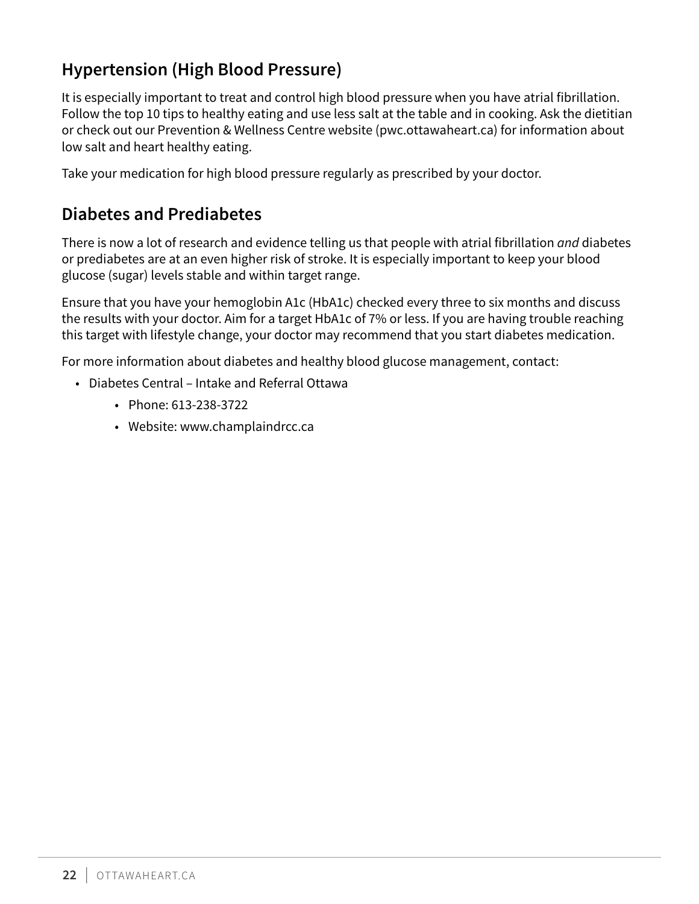### <span id="page-21-0"></span>**Hypertension (High Blood Pressure)**

It is especially important to treat and control high blood pressure when you have atrial fibrillation. Follow the top 10 tips to healthy eating and use less salt at the table and in cooking. Ask the dietitian or check out our Prevention & Wellness Centre website (pwc.ottawaheart.ca) for information about low salt and heart healthy eating.

Take your medication for high blood pressure regularly as prescribed by your doctor.

#### **Diabetes and Prediabetes**

There is now a lot of research and evidence telling us that people with atrial fibrillation *and* diabetes or prediabetes are at an even higher risk of stroke. It is especially important to keep your blood glucose (sugar) levels stable and within target range.

Ensure that you have your hemoglobin A1c (HbA1c) checked every three to six months and discuss the results with your doctor. Aim for a target HbA1c of 7% or less. If you are having trouble reaching this target with lifestyle change, your doctor may recommend that you start diabetes medication.

For more information about diabetes and healthy blood glucose management, contact:

- Diabetes Central Intake and Referral Ottawa
	- Phone: 613-238-3722
	- Website: [www.champlaindrcc.ca](http://www.champlaindrcc.ca/)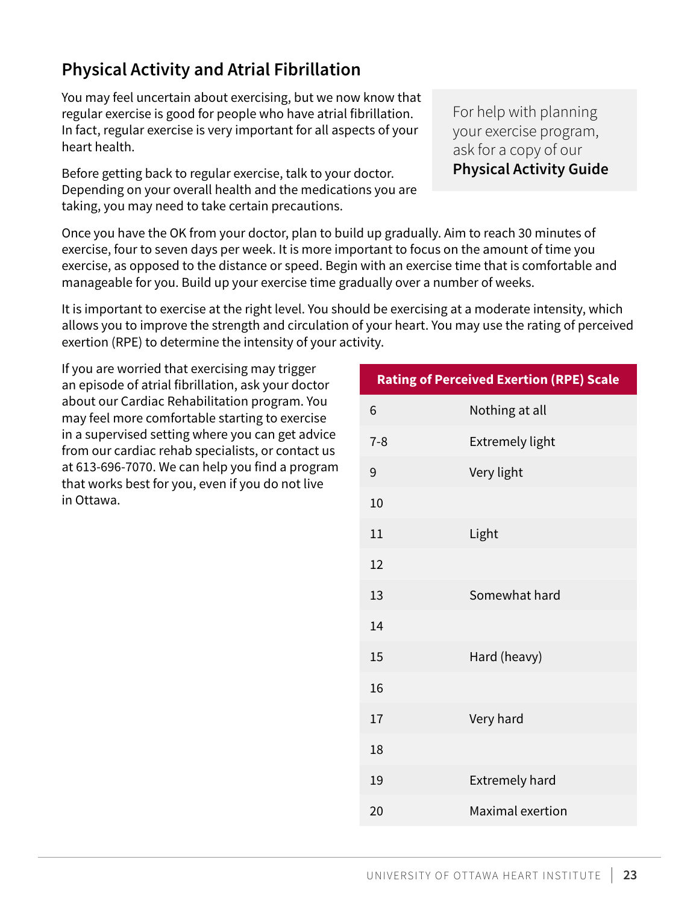### <span id="page-22-0"></span>**Physical Activity and Atrial Fibrillation**

You may feel uncertain about exercising, but we now know that regular exercise is good for people who have atrial fibrillation. In fact, regular exercise is very important for all aspects of your heart health.

Before getting back to regular exercise, talk to your doctor. Depending on your overall health and the medications you are taking, you may need to take certain precautions.

Once you have the OK from your doctor, plan to build up gradually. Aim to reach 30 minutes of exercise, four to seven days per week. It is more important to focus on the amount of time you exercise, as opposed to the distance or speed. Begin with an exercise time that is comfortable and manageable for you. Build up your exercise time gradually over a number of weeks.

It is important to exercise at the right level. You should be exercising at a moderate intensity, which allows you to improve the strength and circulation of your heart. You may use the rating of perceived exertion (RPE) to determine the intensity of your activity.

If you are worried that exercising may trigger an episode of atrial fibrillation, ask your doctor about our Cardiac Rehabilitation program. You may feel more comfortable starting to exercise in a supervised setting where you can get advice from our cardiac rehab specialists, or contact us at 613-696-7070. We can help you find a program that works best for you, even if you do not live in Ottawa.

| <b>Rating of Perceived Exertion (RPE) Scale</b> |                        |  |  |
|-------------------------------------------------|------------------------|--|--|
| 6                                               | Nothing at all         |  |  |
| $7 - 8$                                         | <b>Extremely light</b> |  |  |
| 9                                               | Very light             |  |  |
| 10                                              |                        |  |  |
| 11                                              | Light                  |  |  |
| 12                                              |                        |  |  |
| 13                                              | Somewhat hard          |  |  |
| 14                                              |                        |  |  |
| 15                                              | Hard (heavy)           |  |  |
| 16                                              |                        |  |  |
| 17                                              | Very hard              |  |  |
| 18                                              |                        |  |  |
| 19                                              | <b>Extremely hard</b>  |  |  |
| 20                                              | Maximal exertion       |  |  |

For help with planning your exercise program, ask for a copy of our **Physical Activity Guide**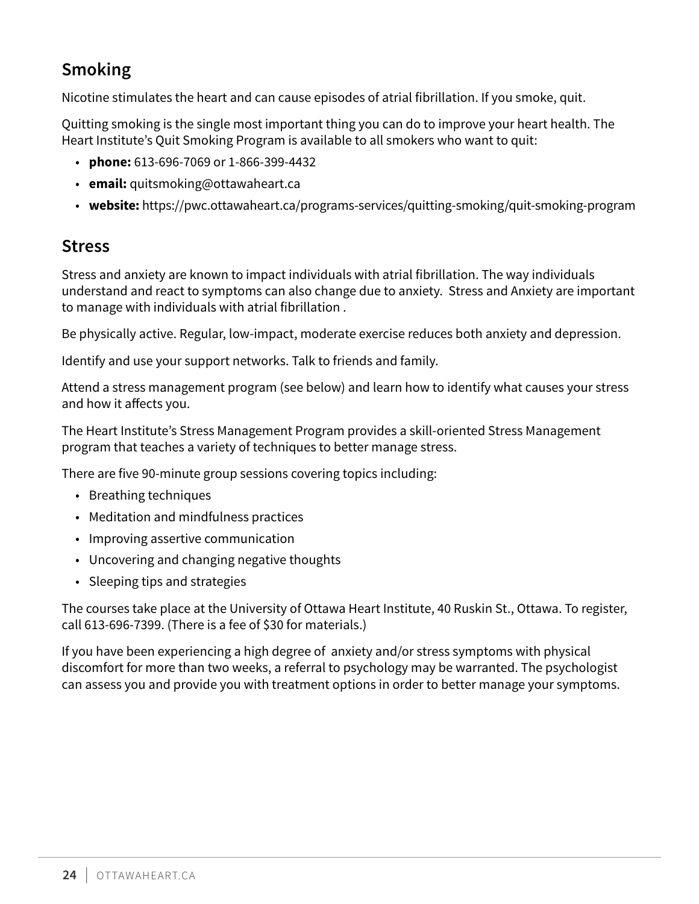### <span id="page-23-0"></span>**Smoking**

Nicotine stimulates the heart and can cause episodes of atrial fibrillation. If you smoke, quit.

Quitting smoking is the single most important thing you can do to improve your heart health. The Heart Institute's Quit Smoking Program is available to all smokers who want to quit:

- **phone:** 613-696-7069 or 1-866-399-4432
- **email:** quitsmoking@ottawaheart.ca
- **website:** https://pwc.ottawaheart.ca/programs-services/quitting-smoking/quit-smoking-program

#### **Stress**

Stress and anxiety are known to impact individuals with atrial fibrillation. The way individuals understand and react to symptoms can also change due to anxiety. Stress and Anxiety are important to manage with individuals with atrial fibrillation .

Be physically active. Regular, low-impact, moderate exercise reduces both anxiety and depression.

Identify and use your support networks. Talk to friends and family.

Attend a stress management program (see below) and learn how to identify what causes your stress and how it affects you.

The Heart Institute's Stress Management Program provides a skill-oriented Stress Management program that teaches a variety of techniques to better manage stress.

There are five 90-minute group sessions covering topics including:

- Breathing techniques
- Meditation and mindfulness practices
- Improving assertive communication
- Uncovering and changing negative thoughts
- Sleeping tips and strategies

The courses take place at the University of Ottawa Heart Institute, 40 Ruskin St., Ottawa. To register, call 613-696-7399. (There is a fee of \$30 for materials.)

If you have been experiencing a high degree of anxiety and/or stress symptoms with physical discomfort for more than two weeks, a referral to psychology may be warranted. The psychologist can assess you and provide you with treatment options in order to better manage your symptoms.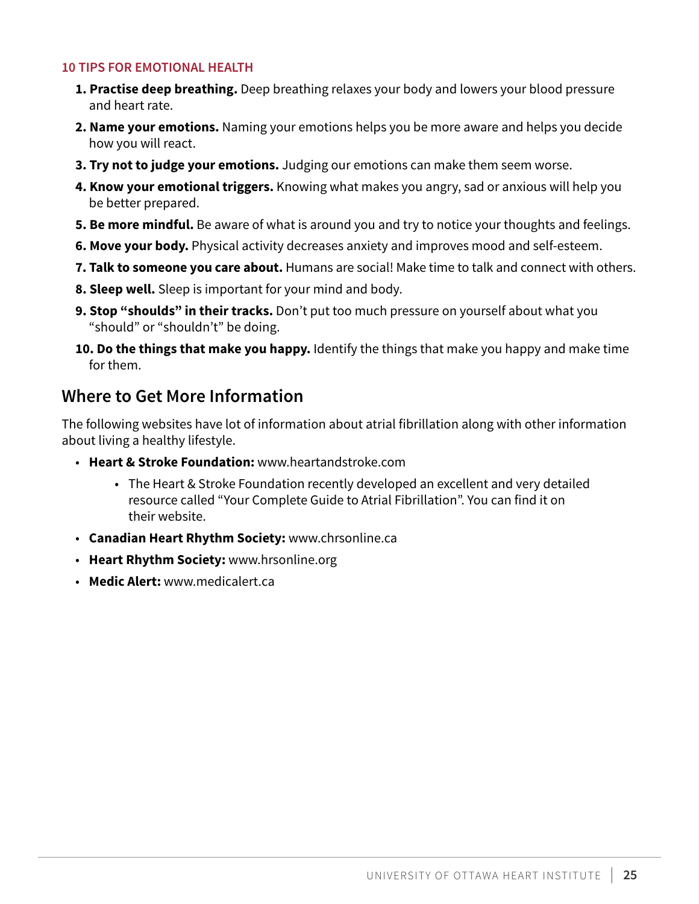#### **10 TIPS FOR EMOTIONAL HEALTH**

- **1. Practise deep breathing.** Deep breathing relaxes your body and lowers your blood pressure and heart rate.
- **2. Name your emotions.** Naming your emotions helps you be more aware and helps you decide how you will react.
- **3. Try not to judge your emotions.** Judging our emotions can make them seem worse.
- **4. Know your emotional triggers.** Knowing what makes you angry, sad or anxious will help you be better prepared.
- **5. Be more mindful.** Be aware of what is around you and try to notice your thoughts and feelings.
- **6. Move your body.** Physical activity decreases anxiety and improves mood and self-esteem.
- **7. Talk to someone you care about.** Humans are social! Make time to talk and connect with others.
- **8. Sleep well.** Sleep is important for your mind and body.
- **9. Stop "shoulds" in their tracks.** Don't put too much pressure on yourself about what you "should" or "shouldn't" be doing.
- **10. Do the things that make you happy.** Identify the things that make you happy and make time for them.

#### **Where to Get More Information**

The following websites have lot of information about atrial fibrillation along with other information about living a healthy lifestyle.

- **Heart & Stroke Foundation:** [www.heartandstroke.com](http://www.heartandstroke.com/)
	- The Heart & Stroke Foundation recently developed an excellent and very detailed resource called "Your Complete Guide to Atrial Fibrillation". You can find it on their website.
- **Canadian Heart Rhythm Society:** [www.chrsonline.ca](http://www.chrsonline.ca/)
- **Heart Rhythm Society:** [www.hrsonline.org](http://www.hrsonline.org/)
- **Medic Alert:** [www.medicalert.ca](http://www.medicalert.ca/)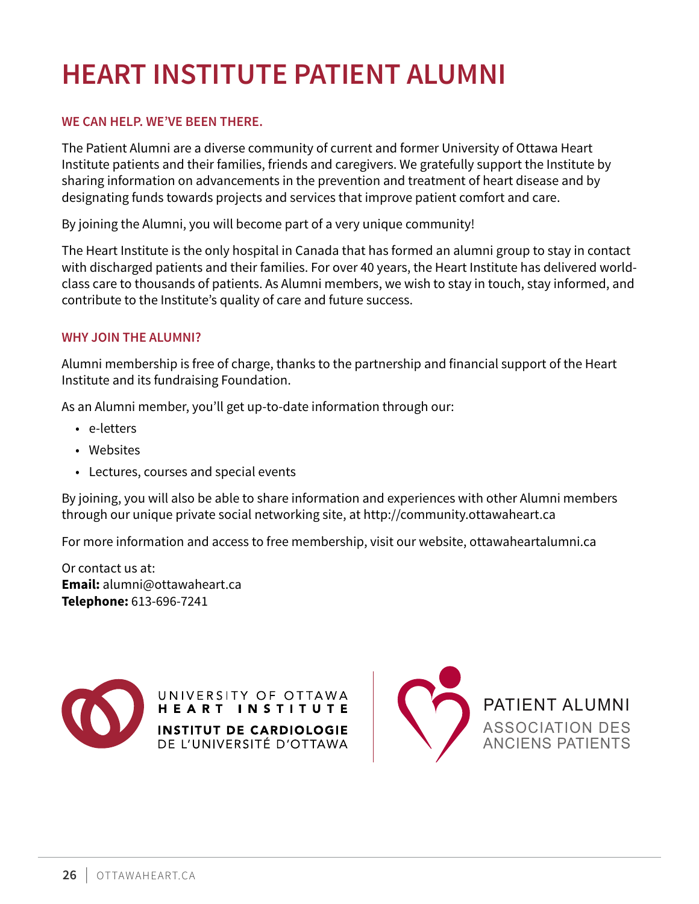# <span id="page-25-0"></span>**HEART INSTITUTE PATIENT ALUMNI**

#### **WE CAN HELP. WE'VE BEEN THERE.**

The Patient Alumni are a diverse community of current and former University of Ottawa Heart Institute patients and their families, friends and caregivers. We gratefully support the Institute by sharing information on advancements in the prevention and treatment of heart disease and by designating funds towards projects and services that improve patient comfort and care.

By joining the Alumni, you will become part of a very unique community!

The Heart Institute is the only hospital in Canada that has formed an alumni group to stay in contact with discharged patients and their families. For over 40 years, the Heart Institute has delivered worldclass care to thousands of patients. As Alumni members, we wish to stay in touch, stay informed, and contribute to the Institute's quality of care and future success.

#### **WHY JOIN THE ALUMNI?**

Alumni membership is free of charge, thanks to the partnership and financial support of the Heart Institute and its fundraising Foundation.

As an Alumni member, you'll get up-to-date information through our:

- e-letters
- Websites
- Lectures, courses and special events

By joining, you will also be able to share information and experiences with other Alumni members through our unique private social networking site, at http://community.ottawaheart.ca

For more information and access to free membership, visit our website, ottawaheartalumni.ca

Or contact us at: **Email:** alumni@ottawaheart.ca **Telephone:** 613-696-7241



UNIVERSITY OF OTTAWA HEART INSTITUTE **INSTITUT DE CARDIOLOGIE** DE L'UNIVERSITÉ D'OTTAWA